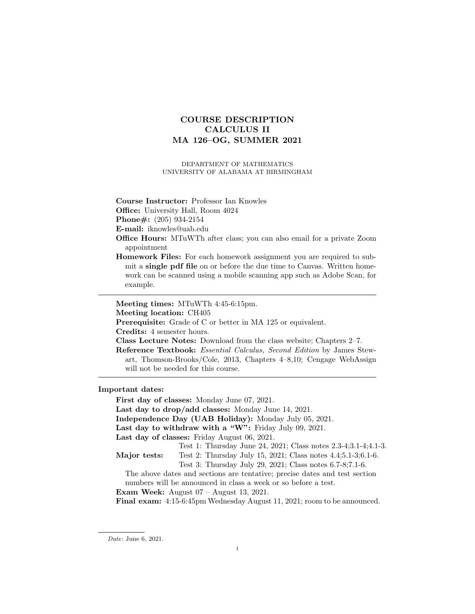# COURSE DESCRIPTION CALCULUS II MA 126–OG, SUMMER 2021

DEPARTMENT OF MATHEMATICS UNIVERSITY OF ALABAMA AT BIRMINGHAM

Course Instructor: Professor Ian Knowles

Office: University Hall, Room 4024

Phone#: (205) 934-2154

E-mail: iknowles@uab.edu

- Office Hours: MTuWTh after class; you can also email for a private Zoom appointment
- Homework Files: For each homework assignment you are required to submit a **single pdf file** on or before the due time to Canvas. Written homework can be scanned using a mobile scanning app such as Adobe Scan, for example.

Meeting times: MTuWTh 4:45-6:15pm.

Meeting location: CH405

Prerequisite: Grade of C or better in MA 125 or equivalent.

Credits: 4 semester hours.

Class Lecture Notes: Download from the class website; Chapters 2–7.

Reference Textbook: Essential Calculus, Second Edition by James Stewart, Thomson-Brooks/Cole, 2013, Chapters 4–8,10; Cengage WebAssign will not be needed for this course.

Important dates:

First day of classes: Monday June 07, 2021.

Last day to drop/add classes: Monday June 14, 2021.

Independence Day (UAB Holiday): Monday July 05, 2021.

Last day to withdraw with a "W": Friday July 09, 2021.

Last day of classes: Friday August 06, 2021.

Test 1: Thursday June 24, 2021; Class notes 2.3-4;3.1-4;4.1-3.

Major tests: Test 2: Thursday July 15, 2021; Class notes 4.4;5.1-3;6.1-6.

Test 3: Thursday July 29, 2021; Class notes 6.7-8;7.1-6.

The above dates and sections are tentative; precise dates and test section numbers will be announced in class a week or so before a test.

Exam Week: August 07 – August 13, 2021.

Final exam: 4:15-6:45pm Wednesday August 11, 2021; room to be announced.

Date: June 6, 2021.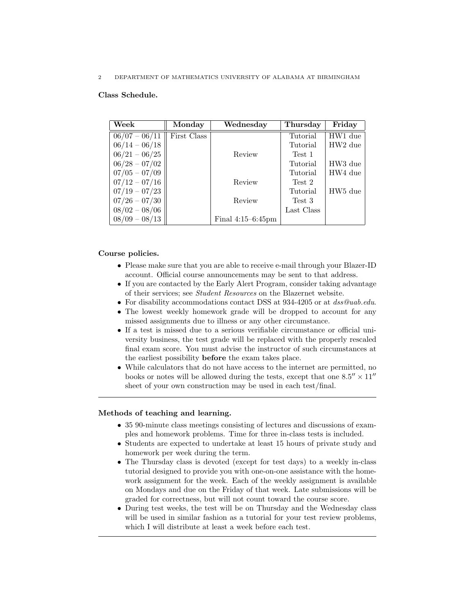2 DEPARTMENT OF MATHEMATICS UNIVERSITY OF ALABAMA AT BIRMINGHAM

## Class Schedule.

| Week            | Monday      | Wednesday            | Thursday   | Friday              |
|-----------------|-------------|----------------------|------------|---------------------|
| $06/07 - 06/11$ | First Class |                      | Tutorial   | HW1 due             |
| $06/14 - 06/18$ |             |                      | Tutorial   | HW <sub>2</sub> due |
| $06/21 - 06/25$ |             | Review               | Test 1     |                     |
| $06/28 - 07/02$ |             |                      | Tutorial   | HW3 due             |
| $07/05 - 07/09$ |             |                      | Tutorial   | HW4 due             |
| $07/12 - 07/16$ |             | Review               | Test 2     |                     |
| $07/19 - 07/23$ |             |                      | Tutorial   | HW <sub>5</sub> due |
| $07/26 - 07/30$ |             | Review               | Test 3     |                     |
| $08/02 - 08/06$ |             |                      | Last Class |                     |
| $08/09 - 08/13$ |             | Final $4:15-6:45$ pm |            |                     |

## Course policies.

- Please make sure that you are able to receive e-mail through your Blazer-ID account. Official course announcements may be sent to that address.
- If you are contacted by the Early Alert Program, consider taking advantage of their services; see Student Resources on the Blazernet website.
- For disability accommodations contact DSS at 934-4205 or at dss@uab.edu.
- The lowest weekly homework grade will be dropped to account for any missed assignments due to illness or any other circumstance.
- If a test is missed due to a serious verifiable circumstance or official university business, the test grade will be replaced with the properly rescaled final exam score. You must advise the instructor of such circumstances at the earliest possibility before the exam takes place.
- While calculators that do not have access to the internet are permitted, no books or notes will be allowed during the tests, except that one  $8.5'' \times 11''$ sheet of your own construction may be used in each test/final.

# Methods of teaching and learning.

- 35 90-minute class meetings consisting of lectures and discussions of examples and homework problems. Time for three in-class tests is included.
- Students are expected to undertake at least 15 hours of private study and homework per week during the term.
- The Thursday class is devoted (except for test days) to a weekly in-class tutorial designed to provide you with one-on-one assistance with the homework assignment for the week. Each of the weekly assignment is available on Mondays and due on the Friday of that week. Late submissions will be graded for correctness, but will not count toward the course score.
- During test weeks, the test will be on Thursday and the Wednesday class will be used in similar fashion as a tutorial for your test review problems, which I will distribute at least a week before each test.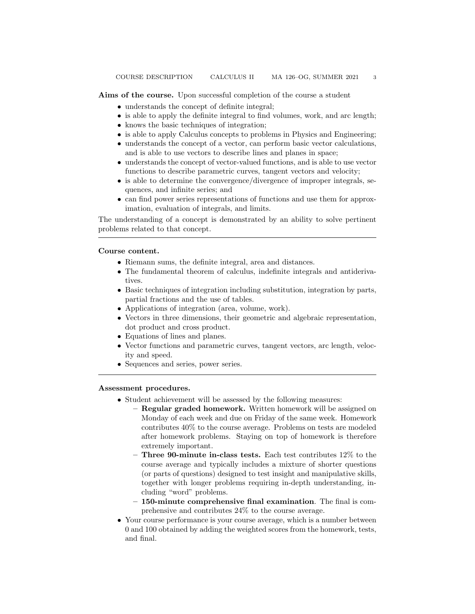Aims of the course. Upon successful completion of the course a student

- understands the concept of definite integral;
- is able to apply the definite integral to find volumes, work, and arc length;
- knows the basic techniques of integration;
- is able to apply Calculus concepts to problems in Physics and Engineering;
- understands the concept of a vector, can perform basic vector calculations, and is able to use vectors to describe lines and planes in space;
- understands the concept of vector-valued functions, and is able to use vector functions to describe parametric curves, tangent vectors and velocity;
- is able to determine the convergence/divergence of improper integrals, sequences, and infinite series; and
- can find power series representations of functions and use them for approximation, evaluation of integrals, and limits.

The understanding of a concept is demonstrated by an ability to solve pertinent problems related to that concept.

### Course content.

- Riemann sums, the definite integral, area and distances.
- The fundamental theorem of calculus, indefinite integrals and antiderivatives.
- Basic techniques of integration including substitution, integration by parts, partial fractions and the use of tables.
- Applications of integration (area, volume, work).
- Vectors in three dimensions, their geometric and algebraic representation, dot product and cross product.
- Equations of lines and planes.
- Vector functions and parametric curves, tangent vectors, arc length, velocity and speed.
- Sequences and series, power series.

### Assessment procedures.

- Student achievement will be assessed by the following measures:
	- Regular graded homework. Written homework will be assigned on Monday of each week and due on Friday of the same week. Homework contributes 40% to the course average. Problems on tests are modeled after homework problems. Staying on top of homework is therefore extremely important.
	- Three 90-minute in-class tests. Each test contributes 12% to the course average and typically includes a mixture of shorter questions (or parts of questions) designed to test insight and manipulative skills, together with longer problems requiring in-depth understanding, including "word" problems.
	- 150-minute comprehensive final examination. The final is comprehensive and contributes 24% to the course average.
- Your course performance is your course average, which is a number between 0 and 100 obtained by adding the weighted scores from the homework, tests, and final.